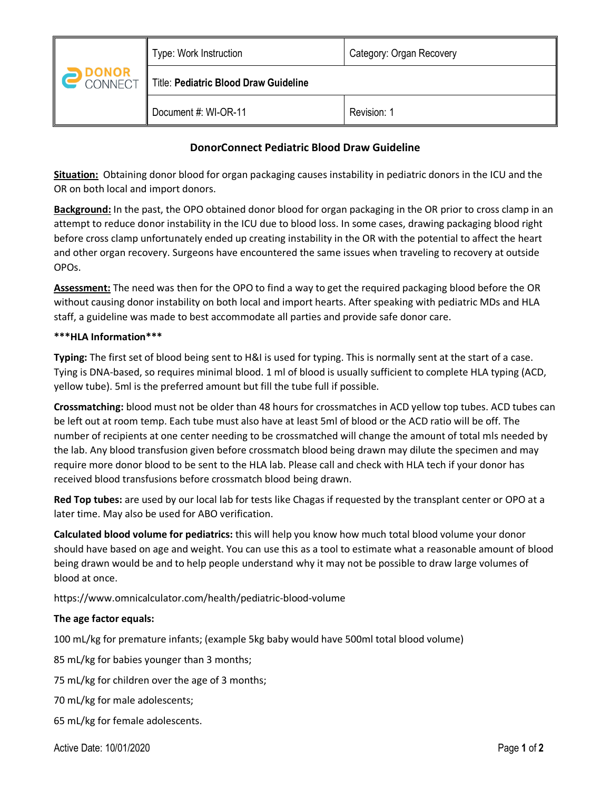|       | Type: Work Instruction                | Category: Organ Recovery |
|-------|---------------------------------------|--------------------------|
| DONOR | Title: Pediatric Blood Draw Guideline |                          |
|       | Document #: WI-OR-11                  | Revision: 1              |

# **DonorConnect Pediatric Blood Draw Guideline**

**Situation:** Obtaining donor blood for organ packaging causes instability in pediatric donors in the ICU and the OR on both local and import donors.

**Background:** In the past, the OPO obtained donor blood for organ packaging in the OR prior to cross clamp in an attempt to reduce donor instability in the ICU due to blood loss. In some cases, drawing packaging blood right before cross clamp unfortunately ended up creating instability in the OR with the potential to affect the heart and other organ recovery. Surgeons have encountered the same issues when traveling to recovery at outside OPOs.

**Assessment:** The need was then for the OPO to find a way to get the required packaging blood before the OR without causing donor instability on both local and import hearts. After speaking with pediatric MDs and HLA staff, a guideline was made to best accommodate all parties and provide safe donor care.

## **\*\*\*HLA Information\*\*\***

**Typing:** The first set of blood being sent to H&I is used for typing. This is normally sent at the start of a case. Tying is DNA-based, so requires minimal blood. 1 ml of blood is usually sufficient to complete HLA typing (ACD, yellow tube). 5ml is the preferred amount but fill the tube full if possible.

**Crossmatching:** blood must not be older than 48 hours for crossmatches in ACD yellow top tubes. ACD tubes can be left out at room temp. Each tube must also have at least 5ml of blood or the ACD ratio will be off. The number of recipients at one center needing to be crossmatched will change the amount of total mls needed by the lab. Any blood transfusion given before crossmatch blood being drawn may dilute the specimen and may require more donor blood to be sent to the HLA lab. Please call and check with HLA tech if your donor has received blood transfusions before crossmatch blood being drawn.

**Red Top tubes:** are used by our local lab for tests like Chagas if requested by the transplant center or OPO at a later time. May also be used for ABO verification.

**Calculated blood volume for pediatrics:** this will help you know how much total blood volume your donor should have based on age and weight. You can use this as a tool to estimate what a reasonable amount of blood being drawn would be and to help people understand why it may not be possible to draw large volumes of blood at once.

https://www.omnicalculator.com/health/pediatric-blood-volume

## **The age factor equals:**

100 mL/kg for premature infants; (example 5kg baby would have 500ml total blood volume)

85 mL/kg for babies younger than 3 months;

75 mL/kg for children over the age of 3 months;

70 mL/kg for male adolescents;

65 mL/kg for female adolescents.

Active Date: 10/01/2020 Page **1** of **2**